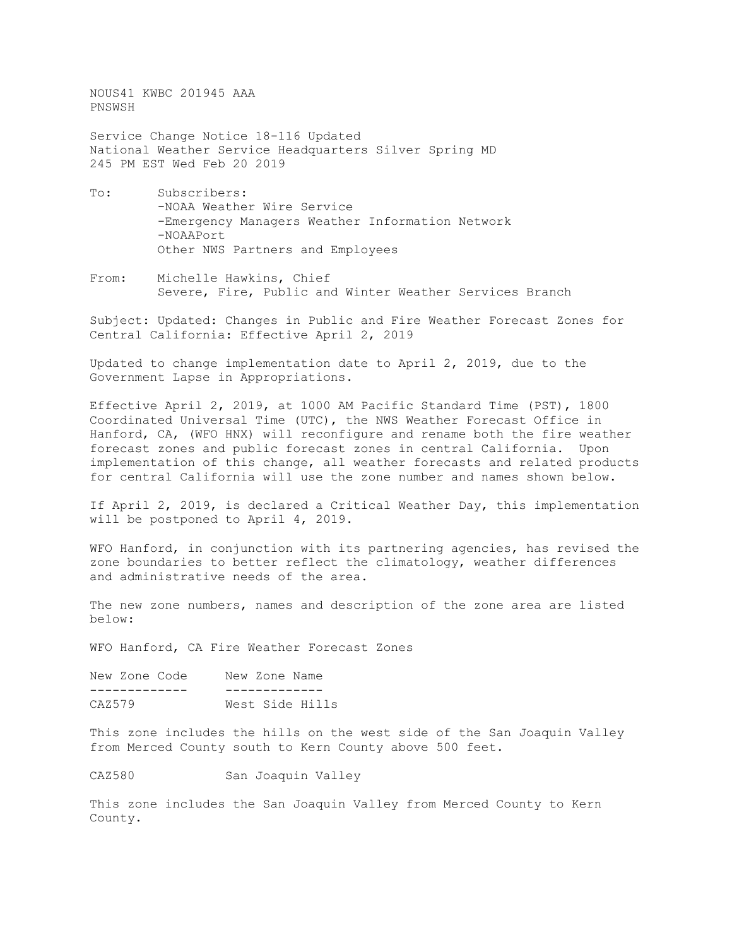NOUS41 KWBC 201945 AAA PNSWSH

Service Change Notice 18-116 Updated National Weather Service Headquarters Silver Spring MD 245 PM EST Wed Feb 20 2019

- To: Subscribers: -NOAA Weather Wire Service -Emergency Managers Weather Information Network -NOAAPort Other NWS Partners and Employees
- From: Michelle Hawkins, Chief Severe, Fire, Public and Winter Weather Services Branch

Subject: Updated: Changes in Public and Fire Weather Forecast Zones for Central California: Effective April 2, 2019

Updated to change implementation date to April 2, 2019, due to the Government Lapse in Appropriations.

Effective April 2, 2019, at 1000 AM Pacific Standard Time (PST), 1800 Coordinated Universal Time (UTC), the NWS Weather Forecast Office in Hanford, CA, (WFO HNX) will reconfigure and rename both the fire weather forecast zones and public forecast zones in central California. Upon implementation of this change, all weather forecasts and related products for central California will use the zone number and names shown below.

If April 2, 2019, is declared a Critical Weather Day, this implementation will be postponed to April 4, 2019.

WFO Hanford, in conjunction with its partnering agencies, has revised the zone boundaries to better reflect the climatology, weather differences and administrative needs of the area.

The new zone numbers, names and description of the zone area are listed below:

WFO Hanford, CA Fire Weather Forecast Zones

| New Zone Code | New Zone Name |                 |
|---------------|---------------|-----------------|
|               |               |                 |
| CAZ579        |               | West Side Hills |

This zone includes the hills on the west side of the San Joaquin Valley from Merced County south to Kern County above 500 feet.

CAZ580 San Joaquin Valley

This zone includes the San Joaquin Valley from Merced County to Kern County.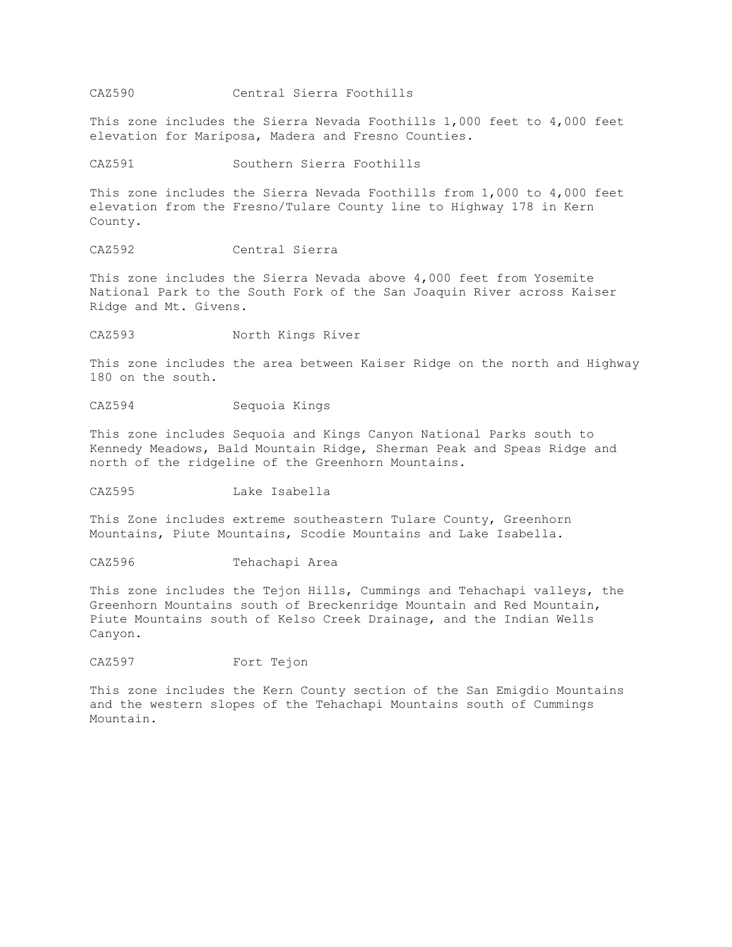## CAZ590 Central Sierra Foothills

This zone includes the Sierra Nevada Foothills 1,000 feet to 4,000 feet elevation for Mariposa, Madera and Fresno Counties.

CAZ591 Southern Sierra Foothills

This zone includes the Sierra Nevada Foothills from 1,000 to 4,000 feet elevation from the Fresno/Tulare County line to Highway 178 in Kern County.

CAZ592 Central Sierra

This zone includes the Sierra Nevada above 4,000 feet from Yosemite National Park to the South Fork of the San Joaquin River across Kaiser Ridge and Mt. Givens.

CAZ593 North Kings River

This zone includes the area between Kaiser Ridge on the north and Highway 180 on the south.

CAZ594 Sequoia Kings

This zone includes Sequoia and Kings Canyon National Parks south to Kennedy Meadows, Bald Mountain Ridge, Sherman Peak and Speas Ridge and north of the ridgeline of the Greenhorn Mountains.

CAZ595 Lake Isabella

This Zone includes extreme southeastern Tulare County, Greenhorn Mountains, Piute Mountains, Scodie Mountains and Lake Isabella.

CAZ596 Tehachapi Area

This zone includes the Tejon Hills, Cummings and Tehachapi valleys, the Greenhorn Mountains south of Breckenridge Mountain and Red Mountain, Piute Mountains south of Kelso Creek Drainage, and the Indian Wells Canyon.

CAZ597 Fort Tejon

This zone includes the Kern County section of the San Emigdio Mountains and the western slopes of the Tehachapi Mountains south of Cummings Mountain.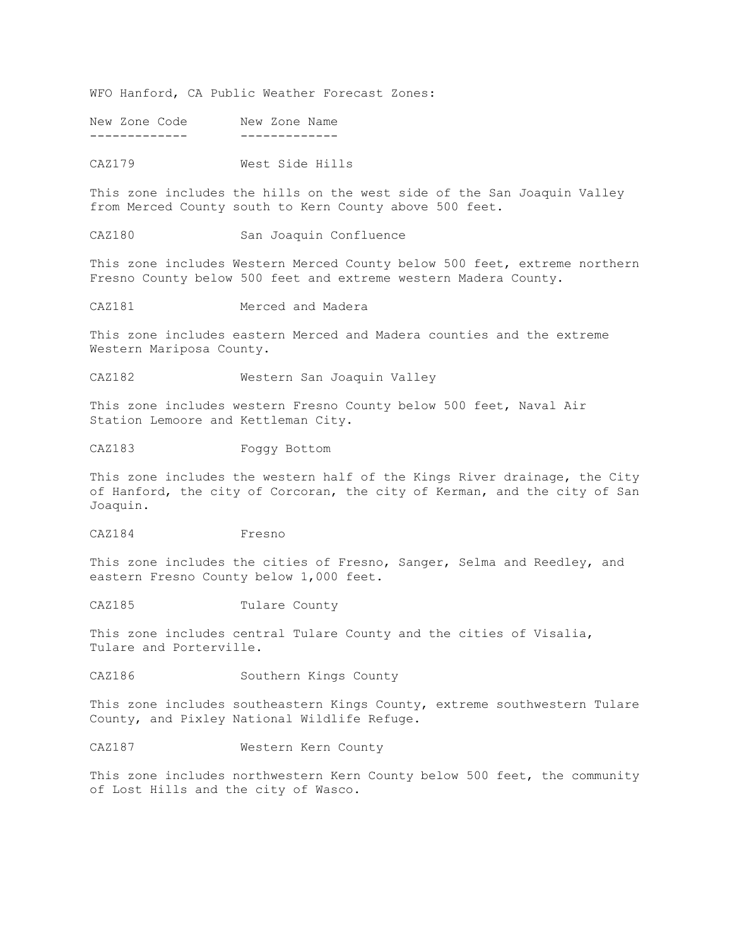WFO Hanford, CA Public Weather Forecast Zones:

New Zone Code New Zone Name ------------- -------------

CAZ179 West Side Hills

This zone includes the hills on the west side of the San Joaquin Valley from Merced County south to Kern County above 500 feet.

CAZ180 San Joaquin Confluence

This zone includes Western Merced County below 500 feet, extreme northern Fresno County below 500 feet and extreme western Madera County.

CAZ181 Merced and Madera

This zone includes eastern Merced and Madera counties and the extreme Western Mariposa County.

CAZ182 Western San Joaquin Valley

This zone includes western Fresno County below 500 feet, Naval Air Station Lemoore and Kettleman City.

CAZ183 Foggy Bottom

This zone includes the western half of the Kings River drainage, the City of Hanford, the city of Corcoran, the city of Kerman, and the city of San Joaquin.

CAZ184 Fresno

This zone includes the cities of Fresno, Sanger, Selma and Reedley, and eastern Fresno County below 1,000 feet.

CAZ185 Tulare County

This zone includes central Tulare County and the cities of Visalia, Tulare and Porterville.

CAZ186 Southern Kings County

This zone includes southeastern Kings County, extreme southwestern Tulare County, and Pixley National Wildlife Refuge.

CAZ187 Western Kern County

This zone includes northwestern Kern County below 500 feet, the community of Lost Hills and the city of Wasco.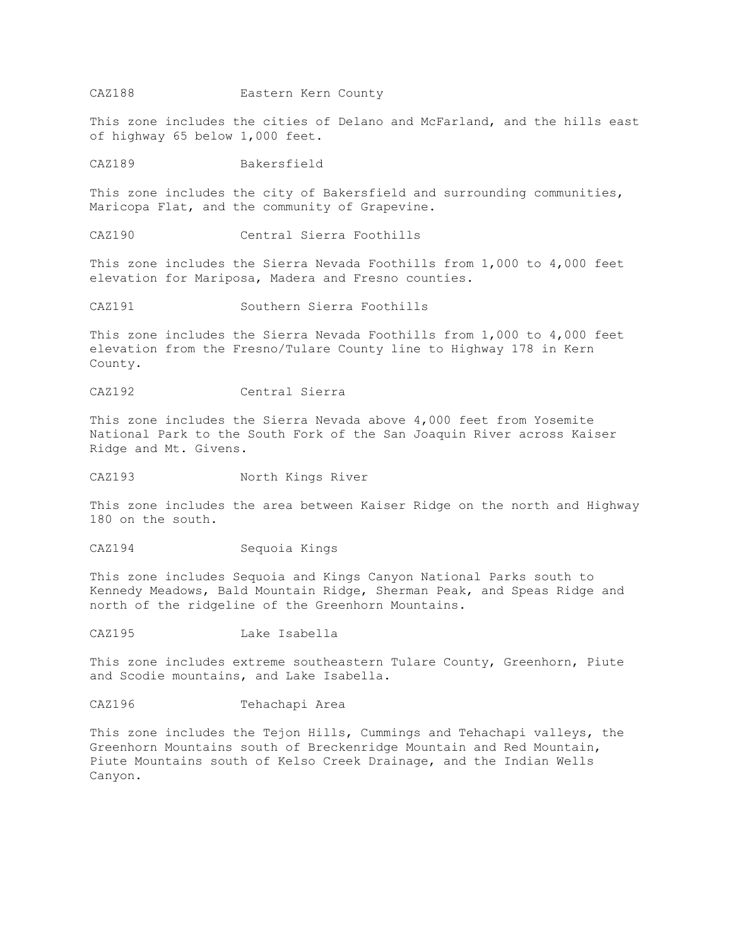## CAZ188 Eastern Kern County

This zone includes the cities of Delano and McFarland, and the hills east of highway 65 below 1,000 feet.

CAZ189 Bakersfield

This zone includes the city of Bakersfield and surrounding communities, Maricopa Flat, and the community of Grapevine.

CAZ190 Central Sierra Foothills

This zone includes the Sierra Nevada Foothills from 1,000 to 4,000 feet elevation for Mariposa, Madera and Fresno counties.

CAZ191 Southern Sierra Foothills

This zone includes the Sierra Nevada Foothills from 1,000 to 4,000 feet elevation from the Fresno/Tulare County line to Highway 178 in Kern County.

CAZ192 Central Sierra

This zone includes the Sierra Nevada above 4,000 feet from Yosemite National Park to the South Fork of the San Joaquin River across Kaiser Ridge and Mt. Givens.

CAZ193 North Kings River

This zone includes the area between Kaiser Ridge on the north and Highway 180 on the south.

CAZ194 Sequoia Kings

This zone includes Sequoia and Kings Canyon National Parks south to Kennedy Meadows, Bald Mountain Ridge, Sherman Peak, and Speas Ridge and north of the ridgeline of the Greenhorn Mountains.

CAZ195 Lake Isabella

This zone includes extreme southeastern Tulare County, Greenhorn, Piute and Scodie mountains, and Lake Isabella.

CAZ196 Tehachapi Area

This zone includes the Tejon Hills, Cummings and Tehachapi valleys, the Greenhorn Mountains south of Breckenridge Mountain and Red Mountain, Piute Mountains south of Kelso Creek Drainage, and the Indian Wells Canyon.